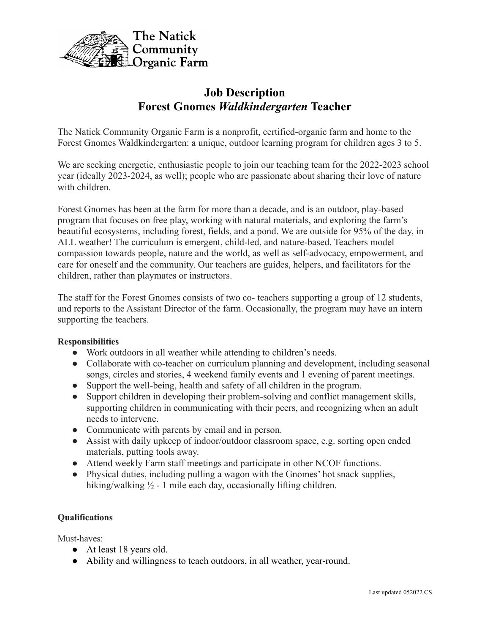

# **Job Description Forest Gnomes** *Waldkindergarten* **Teacher**

The Natick Community Organic Farm is a nonprofit, certified-organic farm and home to the Forest Gnomes Waldkindergarten: a unique, outdoor learning program for children ages 3 to 5.

We are seeking energetic, enthusiastic people to join our teaching team for the 2022-2023 school year (ideally 2023-2024, as well); people who are passionate about sharing their love of nature with children.

Forest Gnomes has been at the farm for more than a decade, and is an outdoor, play-based program that focuses on free play, working with natural materials, and exploring the farm's beautiful ecosystems, including forest, fields, and a pond. We are outside for 95% of the day, in ALL weather! The curriculum is emergent, child-led, and nature-based. Teachers model compassion towards people, nature and the world, as well as self-advocacy, empowerment, and care for oneself and the community. Our teachers are guides, helpers, and facilitators for the children, rather than playmates or instructors.

The staff for the Forest Gnomes consists of two co- teachers supporting a group of 12 students, and reports to the Assistant Director of the farm. Occasionally, the program may have an intern supporting the teachers.

## **Responsibilities**

- Work outdoors in all weather while attending to children's needs.
- Collaborate with co-teacher on curriculum planning and development, including seasonal songs, circles and stories, 4 weekend family events and 1 evening of parent meetings.
- Support the well-being, health and safety of all children in the program.
- Support children in developing their problem-solving and conflict management skills, supporting children in communicating with their peers, and recognizing when an adult needs to intervene.
- Communicate with parents by email and in person.
- Assist with daily upkeep of indoor/outdoor classroom space, e.g. sorting open ended materials, putting tools away.
- Attend weekly Farm staff meetings and participate in other NCOF functions.
- Physical duties, including pulling a wagon with the Gnomes' hot snack supplies, hiking/walking <sup>1</sup>/<sub>2</sub> - 1 mile each day, occasionally lifting children.

## **Qualifications**

Must-haves:

- At least 18 years old.
- Ability and willingness to teach outdoors, in all weather, year-round.